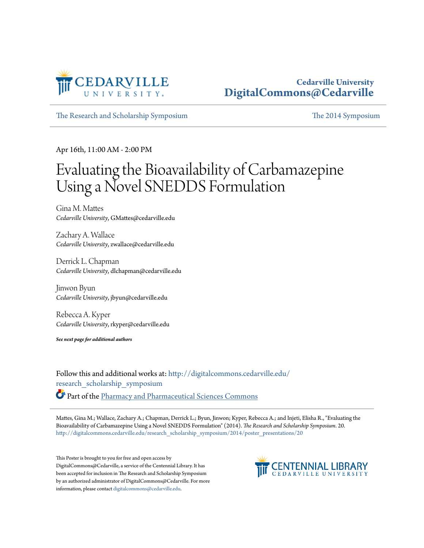

### **Cedarville University [DigitalCommons@Cedarville](http://digitalcommons.cedarville.edu?utm_source=digitalcommons.cedarville.edu%2Fresearch_scholarship_symposium%2F2014%2Fposter_presentations%2F20&utm_medium=PDF&utm_campaign=PDFCoverPages)**

[The Research and Scholarship Symposium](http://digitalcommons.cedarville.edu/research_scholarship_symposium?utm_source=digitalcommons.cedarville.edu%2Fresearch_scholarship_symposium%2F2014%2Fposter_presentations%2F20&utm_medium=PDF&utm_campaign=PDFCoverPages) [The 2014 Symposium](http://digitalcommons.cedarville.edu/research_scholarship_symposium/2014?utm_source=digitalcommons.cedarville.edu%2Fresearch_scholarship_symposium%2F2014%2Fposter_presentations%2F20&utm_medium=PDF&utm_campaign=PDFCoverPages)

Apr 16th, 11:00 AM - 2:00 PM

### Evaluating the Bioavailability of Carbamazepine Using a Novel SNEDDS Formulation

Gina M. Mattes *Cedarville University*, GMattes@cedarville.edu

Zachary A. Wallace *Cedarville University*, zwallace@cedarville.edu

Derrick L. Chapman *Cedarville University*, dlchapman@cedarville.edu

Jinwon Byun *Cedarville University*, jbyun@cedarville.edu

Rebecca A. Kyper *Cedarville University*, rkyper@cedarville.edu

*See next page for additional authors*

Follow this and additional works at: [http://digitalcommons.cedarville.edu/](http://digitalcommons.cedarville.edu/research_scholarship_symposium?utm_source=digitalcommons.cedarville.edu%2Fresearch_scholarship_symposium%2F2014%2Fposter_presentations%2F20&utm_medium=PDF&utm_campaign=PDFCoverPages) [research\\_scholarship\\_symposium](http://digitalcommons.cedarville.edu/research_scholarship_symposium?utm_source=digitalcommons.cedarville.edu%2Fresearch_scholarship_symposium%2F2014%2Fposter_presentations%2F20&utm_medium=PDF&utm_campaign=PDFCoverPages) Part of the [Pharmacy and Pharmaceutical Sciences Commons](http://network.bepress.com/hgg/discipline/731?utm_source=digitalcommons.cedarville.edu%2Fresearch_scholarship_symposium%2F2014%2Fposter_presentations%2F20&utm_medium=PDF&utm_campaign=PDFCoverPages)

Mattes, Gina M.; Wallace, Zachary A.; Chapman, Derrick L.; Byun, Jinwon; Kyper, Rebecca A.; and Injeti, Elisha R., "Evaluating the Bioavailability of Carbamazepine Using a Novel SNEDDS Formulation" (2014). *The Research and Scholarship Symposium*. 20. [http://digitalcommons.cedarville.edu/research\\_scholarship\\_symposium/2014/poster\\_presentations/20](http://digitalcommons.cedarville.edu/research_scholarship_symposium/2014/poster_presentations/20?utm_source=digitalcommons.cedarville.edu%2Fresearch_scholarship_symposium%2F2014%2Fposter_presentations%2F20&utm_medium=PDF&utm_campaign=PDFCoverPages)

This Poster is brought to you for free and open access by DigitalCommons@Cedarville, a service of the Centennial Library. It has been accepted for inclusion in The Research and Scholarship Symposium by an authorized administrator of DigitalCommons@Cedarville. For more information, please contact [digitalcommons@cedarville.edu.](mailto:digitalcommons@cedarville.edu)

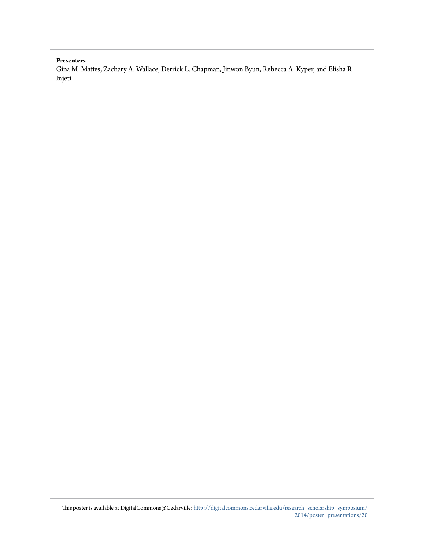### **Presenters**

Gina M. Mattes, Zachary A. Wallace, Derrick L. Chapman, Jinwon Byun, Rebecca A. Kyper, and Elisha R. Injeti